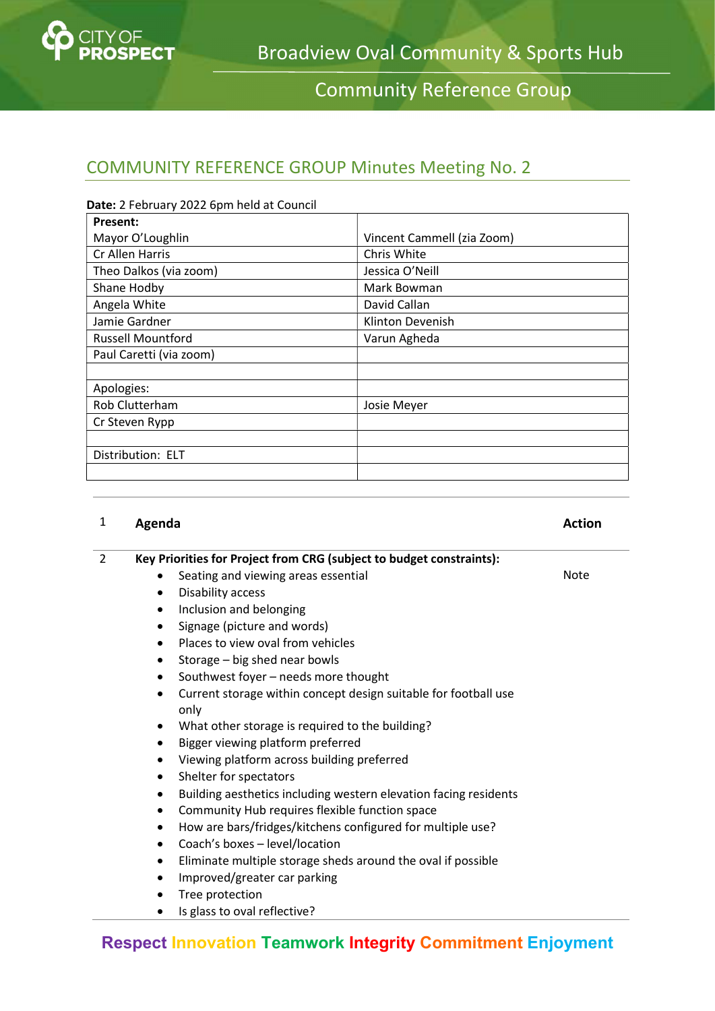

Community Reference Group

## COMMUNITY REFERENCE GROUP Minutes Meeting No. 2

| Date: 2 February 2022 6pm held at Council |                            |
|-------------------------------------------|----------------------------|
| <b>Present:</b>                           |                            |
| Mayor O'Loughlin                          | Vincent Cammell (zia Zoom) |
| Cr Allen Harris                           | Chris White                |
| Theo Dalkos (via zoom)                    | Jessica O'Neill            |
| Shane Hodby                               | Mark Bowman                |
| Angela White                              | David Callan               |
| Jamie Gardner                             | Klinton Devenish           |
| <b>Russell Mountford</b>                  | Varun Agheda               |
| Paul Caretti (via zoom)                   |                            |
|                                           |                            |
| Apologies:                                |                            |
| Rob Clutterham                            | Josie Meyer                |
| Cr Steven Rypp                            |                            |
|                                           |                            |
| Distribution: ELT                         |                            |
|                                           |                            |

#### 1 Agenda **Action** Action Action

Note

#### 2 Key Priorities for Project from CRG (subject to budget constraints):

- Seating and viewing areas essential
- Disability access
- Inclusion and belonging
- Signage (picture and words)
- Places to view oval from vehicles
- Storage big shed near bowls
- Southwest foyer needs more thought
- Current storage within concept design suitable for football use only
- What other storage is required to the building?
- Bigger viewing platform preferred
- Viewing platform across building preferred
- Shelter for spectators
- Building aesthetics including western elevation facing residents
- Community Hub requires flexible function space
- How are bars/fridges/kitchens configured for multiple use?
- Coach's boxes level/location
- Eliminate multiple storage sheds around the oval if possible
- Improved/greater car parking
- Tree protection
- Is glass to oval reflective?

## Respect Innovation Teamwork Integrity Commitment Enjoyment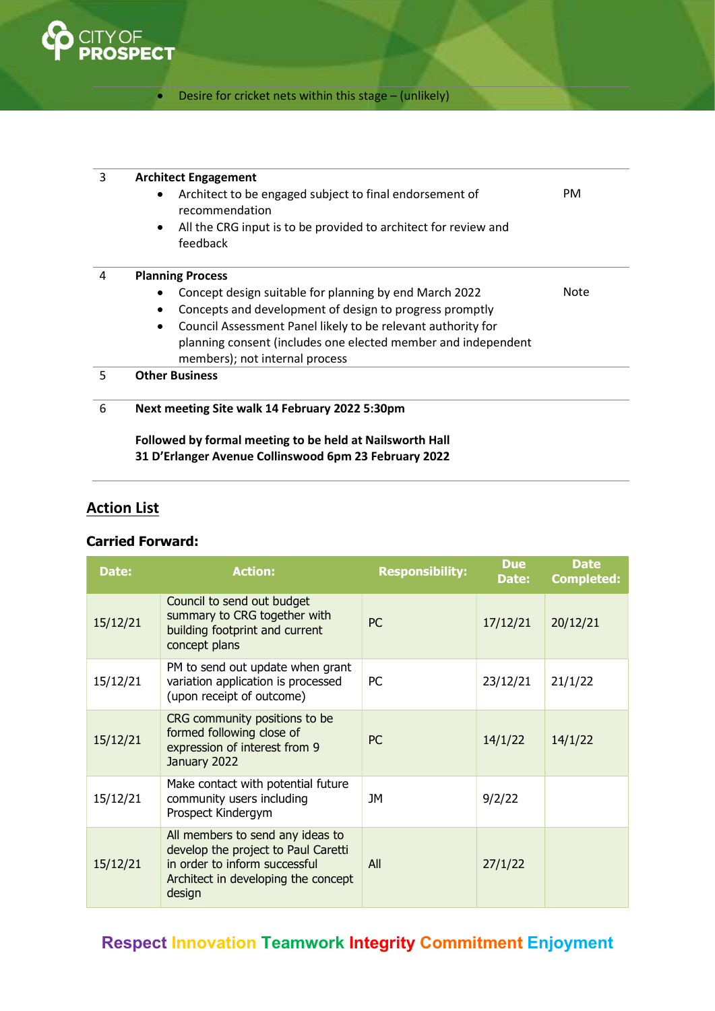

### Desire for cricket nets within this stage – (unlikely)

| 3 | <b>Architect Engagement</b>                                                              |      |  |  |  |
|---|------------------------------------------------------------------------------------------|------|--|--|--|
|   | Architect to be engaged subject to final endorsement of<br>$\bullet$<br>recommendation   | PM.  |  |  |  |
|   | All the CRG input is to be provided to architect for review and<br>$\bullet$<br>feedback |      |  |  |  |
| 4 | <b>Planning Process</b>                                                                  |      |  |  |  |
|   | Concept design suitable for planning by end March 2022                                   | Note |  |  |  |
|   | Concepts and development of design to progress promptly<br>٠                             |      |  |  |  |
|   | Council Assessment Panel likely to be relevant authority for<br>$\bullet$                |      |  |  |  |
|   | planning consent (includes one elected member and independent                            |      |  |  |  |
|   | members); not internal process                                                           |      |  |  |  |
| 5 | <b>Other Business</b>                                                                    |      |  |  |  |
| 6 | Next meeting Site walk 14 February 2022 5:30pm                                           |      |  |  |  |
|   | Followed by formal meeting to be held at Nailsworth Hall                                 |      |  |  |  |

31 D'Erlanger Avenue Collinswood 6pm 23 February 2022

## **Action List**

#### Carried Forward:

| Date:    | <b>Action:</b>                                                                                                                                            | <b>Responsibility:</b> | <b>Due</b><br>Date: | <b>Date</b><br><b>Completed:</b> |
|----------|-----------------------------------------------------------------------------------------------------------------------------------------------------------|------------------------|---------------------|----------------------------------|
| 15/12/21 | Council to send out budget<br>summary to CRG together with<br>building footprint and current<br>concept plans                                             | PC.                    | 17/12/21            | 20/12/21                         |
| 15/12/21 | PM to send out update when grant<br>variation application is processed<br>(upon receipt of outcome)                                                       | <b>PC</b>              | 23/12/21            | 21/1/22                          |
| 15/12/21 | CRG community positions to be<br>formed following close of<br>expression of interest from 9<br>January 2022                                               | <b>PC</b>              | 14/1/22             | 14/1/22                          |
| 15/12/21 | Make contact with potential future<br>community users including<br>Prospect Kindergym                                                                     | JМ                     | 9/2/22              |                                  |
| 15/12/21 | All members to send any ideas to<br>develop the project to Paul Caretti<br>in order to inform successful<br>Architect in developing the concept<br>design | All                    | 27/1/22             |                                  |

# Respect Innovation Teamwork Integrity Commitment Enjoyment